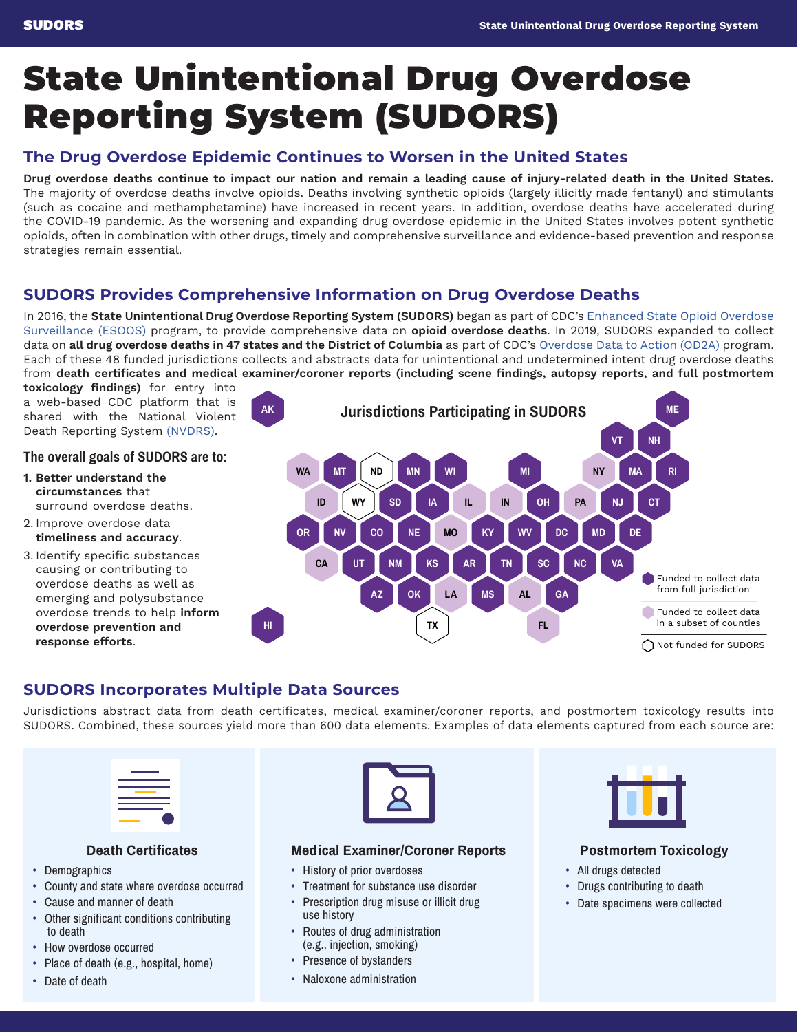# State Unintentional Drug Overdose Reporting System (SUDORS)

# **The Drug Overdose Epidemic Continues to Worsen in the United States**

**Drug overdose deaths continue to impact our nation and remain a leading cause of injury-related death in the United States.**  The majority of overdose deaths involve opioids. Deaths involving synthetic opioids (largely illicitly made fentanyl) and stimulants (such as cocaine and methamphetamine) have increased in recent years. In addition, overdose deaths have accelerated during the COVID-19 pandemic. As the worsening and expanding drug overdose epidemic in the United States involves potent synthetic opioids, often in combination with other drugs, timely and comprehensive surveillance and evidence-based prevention and response strategies remain essential.

# **SUDORS Provides Comprehensive Information on Drug Overdose Deaths**

In 2016, the **State Unintentional Drug Overdose Reporting System (SUDORS)** began as part of CDC's [Enhanced State Opioid Overdose](https://www.cdc.gov/drugoverdose/foa/state-opioid-mm.html) [Surveillance \(ESOOS\)](https://www.cdc.gov/drugoverdose/foa/state-opioid-mm.html) program, to provide comprehensive data on **opioid overdose deaths**. In 2019, SUDORS expanded to collect data on **all drug overdose deaths in 47 states and the District of Columbia** as part of CDC's [Overdose Data to Action \(OD2A\)](https://www.cdc.gov/drugoverdose/od2a/index.html) program. Each of these 48 funded jurisdictions collects and abstracts data for unintentional and undetermined intent drug overdose deaths from **death certificates and medical examiner/coroner reports (including scene findings, autopsy reports, and full postmortem** 

**toxicology findings)** for entry into a web-based CDC platform that is shared with the National Violent Death Reporting System [\(NVDRS\).](https://www.cdc.gov/violenceprevention/datasources/nvdrs/index.html)

## The overall goals of SUDORS are to:

- **1. Better understand the circumstances** that surround overdose deaths.
- 2. Improve overdose data **timeliness and accuracy**.
- 3. Identify specific substances causing or contributing to overdose deaths as well as emerging and polysubstance overdose trends to help **inform overdose prevention and response efforts**.



# **SUDORS Incorporates Multiple Data Sources**

Jurisdictions abstract data from death certificates, medical examiner/coroner reports, and postmortem toxicology results into SUDORS. Combined, these sources yield more than 600 data elements. Examples of data elements captured from each source are:

| _____                                                                                                                                                                |  |
|----------------------------------------------------------------------------------------------------------------------------------------------------------------------|--|
|                                                                                                                                                                      |  |
|                                                                                                                                                                      |  |
| $\mathcal{L}^{\text{max}}_{\text{max}}$ and $\mathcal{L}^{\text{max}}_{\text{max}}$ and $\mathcal{L}^{\text{max}}_{\text{max}}$<br>the control of the control of the |  |

### Death Certificates

- Demographics
- County and state where overdose occurred
- Cause and manner of death
- Other significant conditions contributing to death
- How overdose occurred
- Place of death (e.g., hospital, home)
- Date of death



#### Medical Examiner/Coroner Reports

- History of prior overdoses
- Treatment for substance use disorder
- Prescription drug misuse or illicit drug use history
- Routes of drug administration (e.g., injection, smoking)
- Presence of bystanders
- Naloxone administration



## Postmortem Toxicology

- All drugs detected
- Drugs contributing to death
- Date specimens were collected